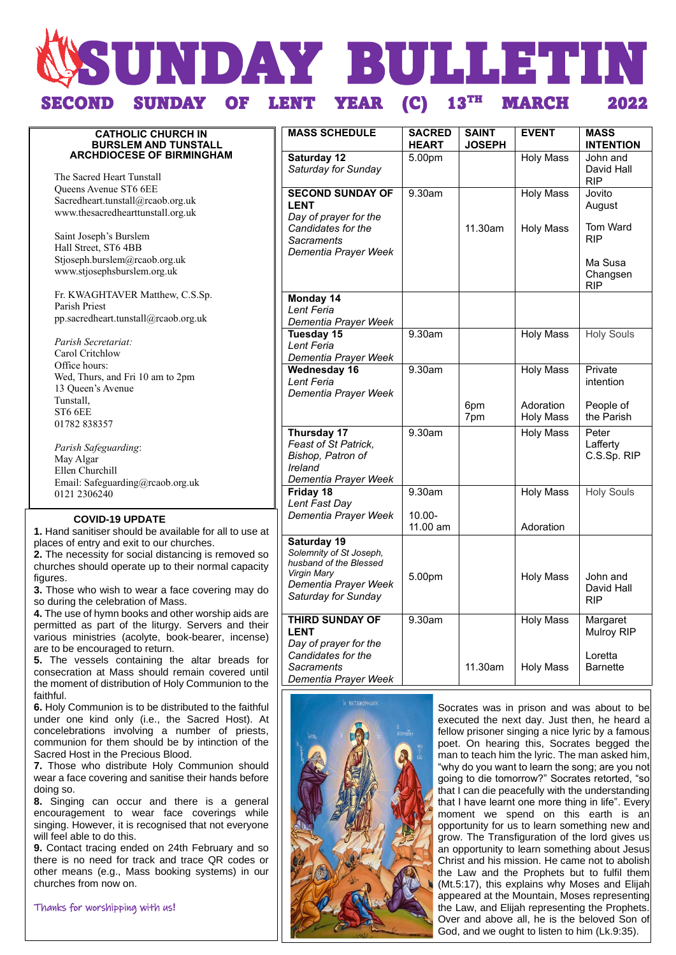# **SUNDAY BULLETIN** SUNDAY OF LENT YEAR (C) MARCH 2022

#### **CATHOLIC CHURCH IN BURSLEM AND TUNSTALL ARCHDIOCESE OF BIRMINGHAM** The Sacred Heart Tunstall Queens Avenue ST6 6EE Sacredheart.tunstall@rcaob.org.uk www.thesacredhearttunstall.org.uk Saint Joseph's Burslem Hall Street, ST6 4BB Stjoseph.burslem@rcaob.org.uk www.stjosephsburslem.org.uk Fr. KWAGHTAVER Matthew, C.S.Sp. Parish Priest pp.sacredheart.tunstall@rcaob.org.uk  *Parish Secretariat:* Carol Critchlow Office hours: Wed, Thurs, and Fri 10 am to 2pm 13 Queen's Avenue Tunstall, ST6 6EE 01782 838357 *Parish Safeguarding*: May Algar Ellen Churchill Email: Safeguarding@rcaob.org.uk 0121 2306240 **MASS SCHEDULE SACRED HEART SAINT JOSEPH EVENT MASS INTENTION Saturday 12** *Saturday for Sunday* 5.00pm Holy Mass John and David Hall RIP **SECOND SUNDAY OF LENT** *Day of prayer for the Candidates for the Sacraments Dementia Prayer Week* 9.30am 11.30am Holy Mass Holy Mass **Jovito** August Tom Ward RIP Ma Susa Changsen RIP **Monday 14** *Lent Feria Dementia Prayer Week* **Tuesday 15** *Lent Feria Dementia Prayer Week* 9.30am Holy Mass Holy Souls **Wednesday 16** *Lent Feria Dementia Prayer Week* 9.30am 6pm 7pm Holy Mass Adoration Holy Mass Private intention People of the Parish **Thursday 17** *Feast of St Patrick, Bishop, Patron of Ireland Dementia Prayer Week* 9.30am Holy Mass Peter Lafferty C.S.Sp. RIP **Friday 18** *Lent Fast Day Dementia Prayer Week* 9.30am 10.00- 11.00 am Holy Mass Adoration Holy Souls **Saturday 19** *Solemnity of St Joseph, husband of the Blessed Virgin Mary Dementia Prayer Week Saturday for Sunday* 5.00pm Holy Mass John and David Hall RIP **THIRD SUNDAY OF LENT** *Day of prayer for the Candidates for the Sacraments Dementia Prayer Week* 9.30am 11.30am Holy Mass Holy Mass Margaret Mulroy RIP Loretta Barnette Socrates was in prison and was about to be  **COVID-19 UPDATE 1.** Hand sanitiser should be available for all to use at places of entry and exit to our churches. **2.** The necessity for social distancing is removed so churches should operate up to their normal capacity figures. **3.** Those who wish to wear a face covering may do so during the celebration of Mass. **4.** The use of hymn books and other worship aids are permitted as part of the liturgy. Servers and their various ministries (acolyte, book-bearer, incense) are to be encouraged to return. **5.** The vessels containing the altar breads for consecration at Mass should remain covered until the moment of distribution of Holy Communion to the faithful. **6.** Holy Communion is to be distributed to the faithful under one kind only (i.e., the Sacred Host). At



concelebrations involving a number of priests, communion for them should be by intinction of the

**7.** Those who distribute Holy Communion should wear a face covering and sanitise their hands before

**8.** Singing can occur and there is a general encouragement to wear face coverings while singing. However, it is recognised that not everyone

**9.** Contact tracing ended on 24th February and so there is no need for track and trace QR codes or other means (e.g., Mass booking systems) in our

Sacred Host in the Precious Blood.

doing so.

will feel able to do this.

churches from now on.

Thanks for worshipping with us**!**

executed the next day. Just then, he heard a fellow prisoner singing a nice lyric by a famous poet. On hearing this, Socrates begged the man to teach him the lyric. The man asked him, "why do you want to learn the song; are you not going to die tomorrow?" Socrates retorted, "so that I can die peacefully with the understanding that I have learnt one more thing in life". Every moment we spend on this earth is an opportunity for us to learn something new and grow. The Transfiguration of the lord gives us an opportunity to learn something about Jesus Christ and his mission. He came not to abolish the Law and the Prophets but to fulfil them (Mt.5:17), this explains why Moses and Elijah appeared at the Mountain, Moses representing the Law, and Elijah representing the Prophets. Over and above all, he is the beloved Son of God, and we ought to listen to him (Lk.9:35).